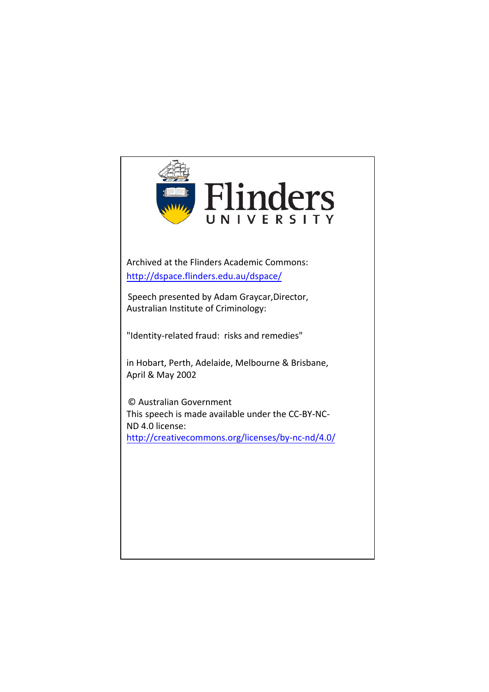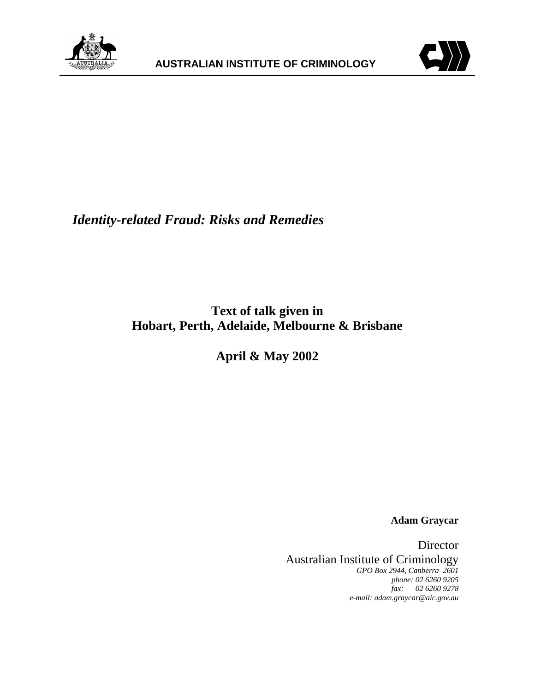



*Identity-related Fraud: Risks and Remedies*

**Text of talk given in Hobart, Perth, Adelaide, Melbourne & Brisbane**

**April & May 2002**

**Adam Graycar**

Director Australian Institute of Criminology *GPO Box 2944, Canberra 2601 phone: 02 6260 9205 fax: 02 6260 9278 e-mail: adam.graycar@aic.gov.au*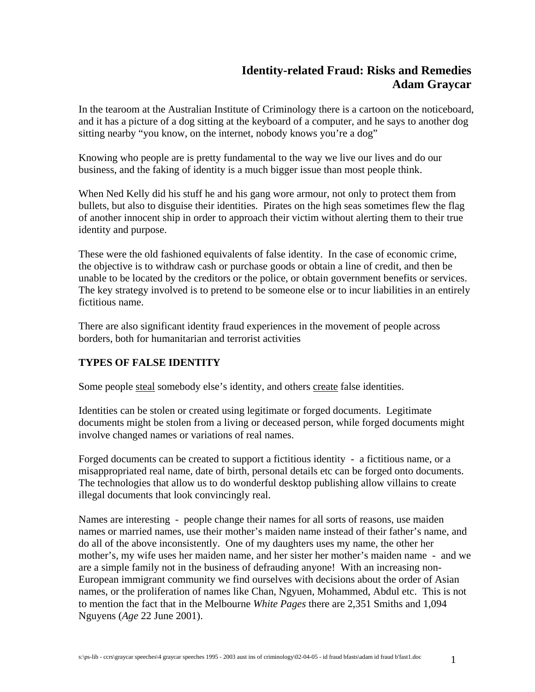# **Identity-related Fraud: Risks and Remedies Adam Graycar**

In the tearoom at the Australian Institute of Criminology there is a cartoon on the noticeboard, and it has a picture of a dog sitting at the keyboard of a computer, and he says to another dog sitting nearby "you know, on the internet, nobody knows you're a dog"

Knowing who people are is pretty fundamental to the way we live our lives and do our business, and the faking of identity is a much bigger issue than most people think.

When Ned Kelly did his stuff he and his gang wore armour, not only to protect them from bullets, but also to disguise their identities. Pirates on the high seas sometimes flew the flag of another innocent ship in order to approach their victim without alerting them to their true identity and purpose.

These were the old fashioned equivalents of false identity. In the case of economic crime, the objective is to withdraw cash or purchase goods or obtain a line of credit, and then be unable to be located by the creditors or the police, or obtain government benefits or services. The key strategy involved is to pretend to be someone else or to incur liabilities in an entirely fictitious name.

There are also significant identity fraud experiences in the movement of people across borders, both for humanitarian and terrorist activities

## **TYPES OF FALSE IDENTITY**

Some people steal somebody else's identity, and others create false identities.

Identities can be stolen or created using legitimate or forged documents. Legitimate documents might be stolen from a living or deceased person, while forged documents might involve changed names or variations of real names.

Forged documents can be created to support a fictitious identity - a fictitious name, or a misappropriated real name, date of birth, personal details etc can be forged onto documents. The technologies that allow us to do wonderful desktop publishing allow villains to create illegal documents that look convincingly real.

Names are interesting - people change their names for all sorts of reasons, use maiden names or married names, use their mother's maiden name instead of their father's name, and do all of the above inconsistently. One of my daughters uses my name, the other her mother's, my wife uses her maiden name, and her sister her mother's maiden name - and we are a simple family not in the business of defrauding anyone! With an increasing non-European immigrant community we find ourselves with decisions about the order of Asian names, or the proliferation of names like Chan, Ngyuen, Mohammed, Abdul etc. This is not to mention the fact that in the Melbourne *White Pages* there are 2,351 Smiths and 1,094 Nguyens (*Age* 22 June 2001).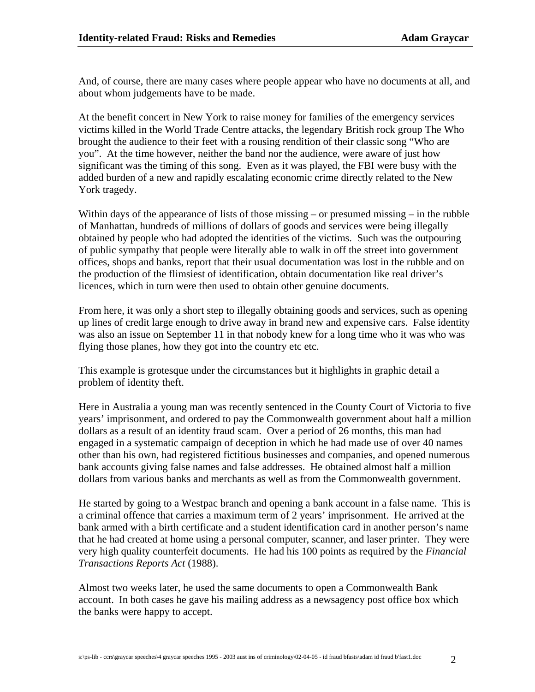And, of course, there are many cases where people appear who have no documents at all, and about whom judgements have to be made.

At the benefit concert in New York to raise money for families of the emergency services victims killed in the World Trade Centre attacks, the legendary British rock group The Who brought the audience to their feet with a rousing rendition of their classic song "Who are you". At the time however, neither the band nor the audience, were aware of just how significant was the timing of this song. Even as it was played, the FBI were busy with the added burden of a new and rapidly escalating economic crime directly related to the New York tragedy.

Within days of the appearance of lists of those missing – or presumed missing – in the rubble of Manhattan, hundreds of millions of dollars of goods and services were being illegally obtained by people who had adopted the identities of the victims. Such was the outpouring of public sympathy that people were literally able to walk in off the street into government offices, shops and banks, report that their usual documentation was lost in the rubble and on the production of the flimsiest of identification, obtain documentation like real driver's licences, which in turn were then used to obtain other genuine documents.

From here, it was only a short step to illegally obtaining goods and services, such as opening up lines of credit large enough to drive away in brand new and expensive cars. False identity was also an issue on September 11 in that nobody knew for a long time who it was who was flying those planes, how they got into the country etc etc.

This example is grotesque under the circumstances but it highlights in graphic detail a problem of identity theft.

Here in Australia a young man was recently sentenced in the County Court of Victoria to five years' imprisonment, and ordered to pay the Commonwealth government about half a million dollars as a result of an identity fraud scam. Over a period of 26 months, this man had engaged in a systematic campaign of deception in which he had made use of over 40 names other than his own, had registered fictitious businesses and companies, and opened numerous bank accounts giving false names and false addresses. He obtained almost half a million dollars from various banks and merchants as well as from the Commonwealth government.

He started by going to a Westpac branch and opening a bank account in a false name. This is a criminal offence that carries a maximum term of 2 years' imprisonment. He arrived at the bank armed with a birth certificate and a student identification card in another person's name that he had created at home using a personal computer, scanner, and laser printer. They were very high quality counterfeit documents. He had his 100 points as required by the *Financial Transactions Reports Act* (1988).

Almost two weeks later, he used the same documents to open a Commonwealth Bank account. In both cases he gave his mailing address as a newsagency post office box which the banks were happy to accept.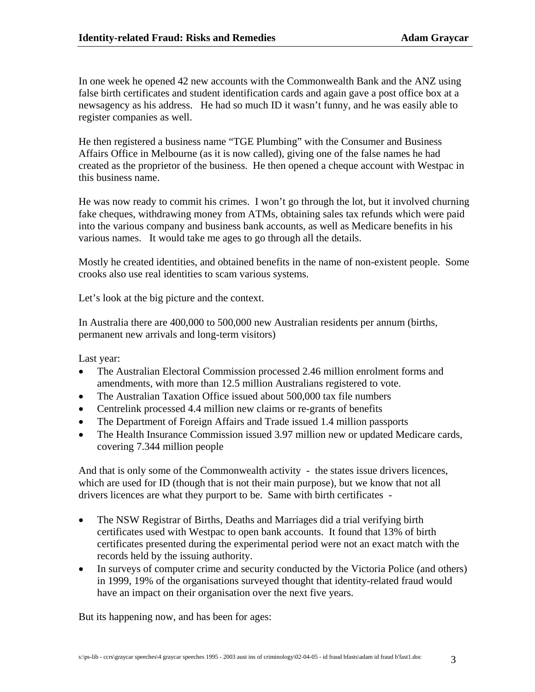In one week he opened 42 new accounts with the Commonwealth Bank and the ANZ using false birth certificates and student identification cards and again gave a post office box at a newsagency as his address. He had so much ID it wasn't funny, and he was easily able to register companies as well.

He then registered a business name "TGE Plumbing" with the Consumer and Business Affairs Office in Melbourne (as it is now called), giving one of the false names he had created as the proprietor of the business. He then opened a cheque account with Westpac in this business name.

He was now ready to commit his crimes. I won't go through the lot, but it involved churning fake cheques, withdrawing money from ATMs, obtaining sales tax refunds which were paid into the various company and business bank accounts, as well as Medicare benefits in his various names. It would take me ages to go through all the details.

Mostly he created identities, and obtained benefits in the name of non-existent people. Some crooks also use real identities to scam various systems.

Let's look at the big picture and the context.

In Australia there are 400,000 to 500,000 new Australian residents per annum (births, permanent new arrivals and long-term visitors)

Last year:

- The Australian Electoral Commission processed 2.46 million enrolment forms and amendments, with more than 12.5 million Australians registered to vote.
- The Australian Taxation Office issued about 500,000 tax file numbers
- Centrelink processed 4.4 million new claims or re-grants of benefits
- The Department of Foreign Affairs and Trade issued 1.4 million passports
- The Health Insurance Commission issued 3.97 million new or updated Medicare cards, covering 7.344 million people

And that is only some of the Commonwealth activity - the states issue drivers licences, which are used for ID (though that is not their main purpose), but we know that not all drivers licences are what they purport to be. Same with birth certificates -

- The NSW Registrar of Births, Deaths and Marriages did a trial verifying birth certificates used with Westpac to open bank accounts. It found that 13% of birth certificates presented during the experimental period were not an exact match with the records held by the issuing authority.
- In surveys of computer crime and security conducted by the Victoria Police (and others) in 1999, 19% of the organisations surveyed thought that identity-related fraud would have an impact on their organisation over the next five years.

But its happening now, and has been for ages: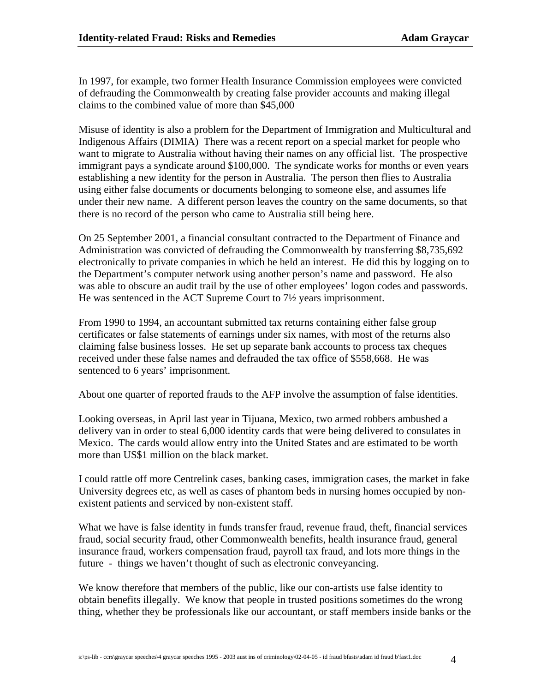In 1997, for example, two former Health Insurance Commission employees were convicted of defrauding the Commonwealth by creating false provider accounts and making illegal claims to the combined value of more than \$45,000

Misuse of identity is also a problem for the Department of Immigration and Multicultural and Indigenous Affairs (DIMIA) There was a recent report on a special market for people who want to migrate to Australia without having their names on any official list. The prospective immigrant pays a syndicate around \$100,000. The syndicate works for months or even years establishing a new identity for the person in Australia. The person then flies to Australia using either false documents or documents belonging to someone else, and assumes life under their new name. A different person leaves the country on the same documents, so that there is no record of the person who came to Australia still being here.

On 25 September 2001, a financial consultant contracted to the Department of Finance and Administration was convicted of defrauding the Commonwealth by transferring \$8,735,692 electronically to private companies in which he held an interest. He did this by logging on to the Department's computer network using another person's name and password. He also was able to obscure an audit trail by the use of other employees' logon codes and passwords. He was sentenced in the ACT Supreme Court to 7½ years imprisonment.

From 1990 to 1994, an accountant submitted tax returns containing either false group certificates or false statements of earnings under six names, with most of the returns also claiming false business losses. He set up separate bank accounts to process tax cheques received under these false names and defrauded the tax office of \$558,668. He was sentenced to 6 years' imprisonment.

About one quarter of reported frauds to the AFP involve the assumption of false identities.

Looking overseas, in April last year in Tijuana, Mexico, two armed robbers ambushed a delivery van in order to steal 6,000 identity cards that were being delivered to consulates in Mexico. The cards would allow entry into the United States and are estimated to be worth more than US\$1 million on the black market.

I could rattle off more Centrelink cases, banking cases, immigration cases, the market in fake University degrees etc, as well as cases of phantom beds in nursing homes occupied by nonexistent patients and serviced by non-existent staff.

What we have is false identity in funds transfer fraud, revenue fraud, theft, financial services fraud, social security fraud, other Commonwealth benefits, health insurance fraud, general insurance fraud, workers compensation fraud, payroll tax fraud, and lots more things in the future - things we haven't thought of such as electronic conveyancing.

We know therefore that members of the public, like our con-artists use false identity to obtain benefits illegally. We know that people in trusted positions sometimes do the wrong thing, whether they be professionals like our accountant, or staff members inside banks or the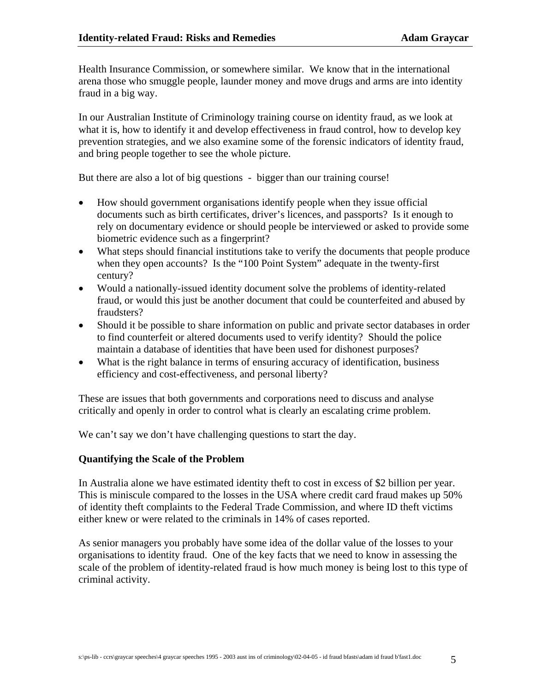Health Insurance Commission, or somewhere similar. We know that in the international arena those who smuggle people, launder money and move drugs and arms are into identity fraud in a big way.

In our Australian Institute of Criminology training course on identity fraud, as we look at what it is, how to identify it and develop effectiveness in fraud control, how to develop key prevention strategies, and we also examine some of the forensic indicators of identity fraud, and bring people together to see the whole picture.

But there are also a lot of big questions - bigger than our training course!

- How should government organisations identify people when they issue official documents such as birth certificates, driver's licences, and passports? Is it enough to rely on documentary evidence or should people be interviewed or asked to provide some biometric evidence such as a fingerprint?
- What steps should financial institutions take to verify the documents that people produce when they open accounts? Is the "100 Point System" adequate in the twenty-first century?
- Would a nationally-issued identity document solve the problems of identity-related fraud, or would this just be another document that could be counterfeited and abused by fraudsters?
- Should it be possible to share information on public and private sector databases in order to find counterfeit or altered documents used to verify identity? Should the police maintain a database of identities that have been used for dishonest purposes?
- What is the right balance in terms of ensuring accuracy of identification, business efficiency and cost-effectiveness, and personal liberty?

These are issues that both governments and corporations need to discuss and analyse critically and openly in order to control what is clearly an escalating crime problem.

We can't say we don't have challenging questions to start the day.

### **Quantifying the Scale of the Problem**

In Australia alone we have estimated identity theft to cost in excess of \$2 billion per year. This is miniscule compared to the losses in the USA where credit card fraud makes up 50% of identity theft complaints to the Federal Trade Commission, and where ID theft victims either knew or were related to the criminals in 14% of cases reported.

As senior managers you probably have some idea of the dollar value of the losses to your organisations to identity fraud. One of the key facts that we need to know in assessing the scale of the problem of identity-related fraud is how much money is being lost to this type of criminal activity.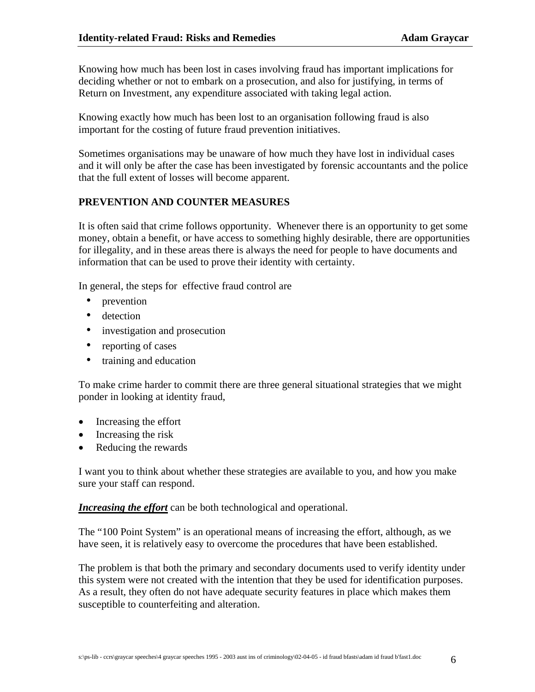Knowing how much has been lost in cases involving fraud has important implications for deciding whether or not to embark on a prosecution, and also for justifying, in terms of Return on Investment, any expenditure associated with taking legal action.

Knowing exactly how much has been lost to an organisation following fraud is also important for the costing of future fraud prevention initiatives.

Sometimes organisations may be unaware of how much they have lost in individual cases and it will only be after the case has been investigated by forensic accountants and the police that the full extent of losses will become apparent.

### **PREVENTION AND COUNTER MEASURES**

It is often said that crime follows opportunity. Whenever there is an opportunity to get some money, obtain a benefit, or have access to something highly desirable, there are opportunities for illegality, and in these areas there is always the need for people to have documents and information that can be used to prove their identity with certainty.

In general, the steps for effective fraud control are

- prevention
- detection
- investigation and prosecution
- reporting of cases
- training and education

To make crime harder to commit there are three general situational strategies that we might ponder in looking at identity fraud,

- Increasing the effort
- Increasing the risk
- Reducing the rewards

I want you to think about whether these strategies are available to you, and how you make sure your staff can respond.

*Increasing the effort* can be both technological and operational.

The "100 Point System" is an operational means of increasing the effort, although, as we have seen, it is relatively easy to overcome the procedures that have been established.

The problem is that both the primary and secondary documents used to verify identity under this system were not created with the intention that they be used for identification purposes. As a result, they often do not have adequate security features in place which makes them susceptible to counterfeiting and alteration.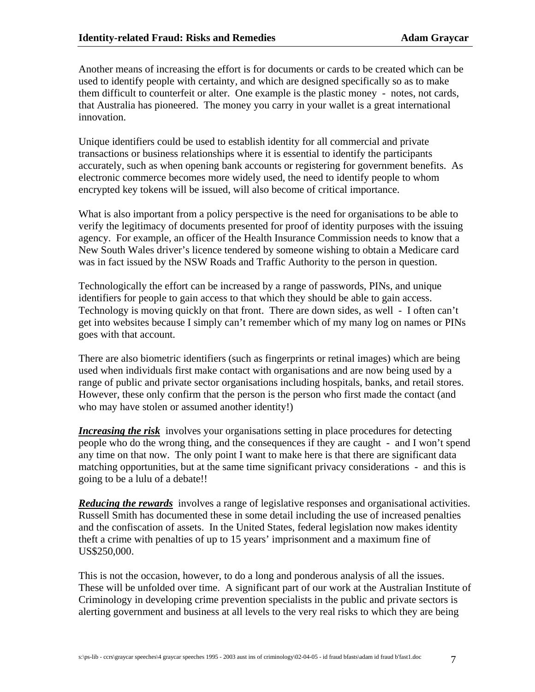Another means of increasing the effort is for documents or cards to be created which can be used to identify people with certainty, and which are designed specifically so as to make them difficult to counterfeit or alter. One example is the plastic money - notes, not cards, that Australia has pioneered. The money you carry in your wallet is a great international innovation.

Unique identifiers could be used to establish identity for all commercial and private transactions or business relationships where it is essential to identify the participants accurately, such as when opening bank accounts or registering for government benefits. As electronic commerce becomes more widely used, the need to identify people to whom encrypted key tokens will be issued, will also become of critical importance.

What is also important from a policy perspective is the need for organisations to be able to verify the legitimacy of documents presented for proof of identity purposes with the issuing agency. For example, an officer of the Health Insurance Commission needs to know that a New South Wales driver's licence tendered by someone wishing to obtain a Medicare card was in fact issued by the NSW Roads and Traffic Authority to the person in question.

Technologically the effort can be increased by a range of passwords, PINs, and unique identifiers for people to gain access to that which they should be able to gain access. Technology is moving quickly on that front. There are down sides, as well - I often can't get into websites because I simply can't remember which of my many log on names or PINs goes with that account.

There are also biometric identifiers (such as fingerprints or retinal images) which are being used when individuals first make contact with organisations and are now being used by a range of public and private sector organisations including hospitals, banks, and retail stores. However, these only confirm that the person is the person who first made the contact (and who may have stolen or assumed another identity!)

*Increasing the risk* involves your organisations setting in place procedures for detecting people who do the wrong thing, and the consequences if they are caught - and I won't spend any time on that now. The only point I want to make here is that there are significant data matching opportunities, but at the same time significant privacy considerations - and this is going to be a lulu of a debate!!

*Reducing the rewards* involves a range of legislative responses and organisational activities. Russell Smith has documented these in some detail including the use of increased penalties and the confiscation of assets. In the United States, federal legislation now makes identity theft a crime with penalties of up to 15 years' imprisonment and a maximum fine of US\$250,000.

This is not the occasion, however, to do a long and ponderous analysis of all the issues. These will be unfolded over time. A significant part of our work at the Australian Institute of Criminology in developing crime prevention specialists in the public and private sectors is alerting government and business at all levels to the very real risks to which they are being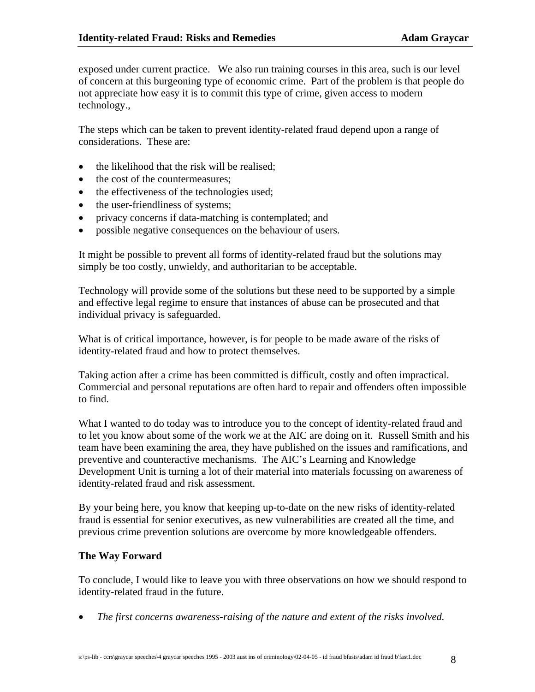exposed under current practice. We also run training courses in this area, such is our level of concern at this burgeoning type of economic crime. Part of the problem is that people do not appreciate how easy it is to commit this type of crime, given access to modern technology.,

The steps which can be taken to prevent identity-related fraud depend upon a range of considerations. These are:

- the likelihood that the risk will be realised;
- the cost of the countermeasures;
- the effectiveness of the technologies used;
- the user-friendliness of systems;
- privacy concerns if data-matching is contemplated; and
- possible negative consequences on the behaviour of users.

It might be possible to prevent all forms of identity-related fraud but the solutions may simply be too costly, unwieldy, and authoritarian to be acceptable.

Technology will provide some of the solutions but these need to be supported by a simple and effective legal regime to ensure that instances of abuse can be prosecuted and that individual privacy is safeguarded.

What is of critical importance, however, is for people to be made aware of the risks of identity-related fraud and how to protect themselves.

Taking action after a crime has been committed is difficult, costly and often impractical. Commercial and personal reputations are often hard to repair and offenders often impossible to find.

What I wanted to do today was to introduce you to the concept of identity-related fraud and to let you know about some of the work we at the AIC are doing on it. Russell Smith and his team have been examining the area, they have published on the issues and ramifications, and preventive and counteractive mechanisms. The AIC's Learning and Knowledge Development Unit is turning a lot of their material into materials focussing on awareness of identity-related fraud and risk assessment.

By your being here, you know that keeping up-to-date on the new risks of identity-related fraud is essential for senior executives, as new vulnerabilities are created all the time, and previous crime prevention solutions are overcome by more knowledgeable offenders.

#### **The Way Forward**

To conclude, I would like to leave you with three observations on how we should respond to identity-related fraud in the future.

• *The first concerns awareness-raising of the nature and extent of the risks involved.*